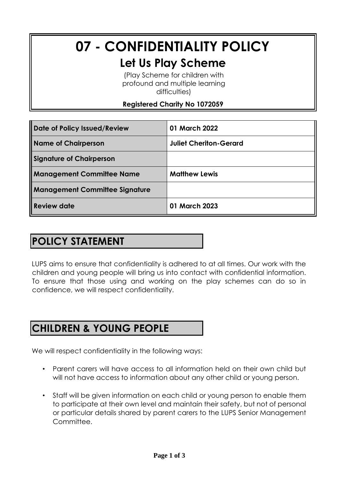# **07 - CONFIDENTIALITY POLICY Let Us Play Scheme**

(Play Scheme for children with profound and multiple learning difficulties)

#### **Registered Charity No 1072059**

| Date of Policy Issued/Review          | 01 March 2022                 |
|---------------------------------------|-------------------------------|
| <b>Name of Chairperson</b>            | <b>Juliet Cheriton-Gerard</b> |
| <b>Signature of Chairperson</b>       |                               |
| <b>Management Committee Name</b>      | <b>Matthew Lewis</b>          |
| <b>Management Committee Signature</b> |                               |
| Review date                           | 01 March 2023                 |

# **POLICY STATEMENT**

LUPS aims to ensure that confidentiality is adhered to at all times. Our work with the children and young people will bring us into contact with confidential information. To ensure that those using and working on the play schemes can do so in confidence, we will respect confidentiality.

# **CHILDREN & YOUNG PEOPLE**

We will respect confidentiality in the following ways:

- Parent carers will have access to all information held on their own child but will not have access to information about any other child or young person.
- Staff will be given information on each child or young person to enable them to participate at their own level and maintain their safety, but not of personal or particular details shared by parent carers to the LUPS Senior Management Committee.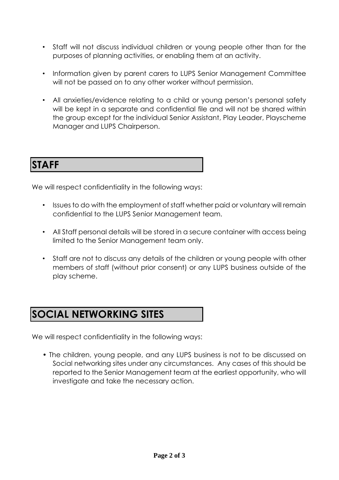- Staff will not discuss individual children or young people other than for the purposes of planning activities, or enabling them at an activity.
- Information given by parent carers to LUPS Senior Management Committee will not be passed on to any other worker without permission.
- All anxieties/evidence relating to a child or young person's personal safety will be kept in a separate and confidential file and will not be shared within the group except for the individual Senior Assistant, Play Leader, Playscheme Manager and LUPS Chairperson.

#### **STAFF**

We will respect confidentiality in the following ways:

- Issues to do with the employment of staff whether paid or voluntary will remain confidential to the LUPS Senior Management team.
- All Staff personal details will be stored in a secure container with access being limited to the Senior Management team only.
- Staff are not to discuss any details of the children or young people with other members of staff (without prior consent) or any LUPS business outside of the play scheme.

### **SOCIAL NETWORKING SITES**

We will respect confidentiality in the following ways:

• The children, young people, and any LUPS business is not to be discussed on Social networking sites under any circumstances. Any cases of this should be reported to the Senior Management team at the earliest opportunity, who will investigate and take the necessary action.